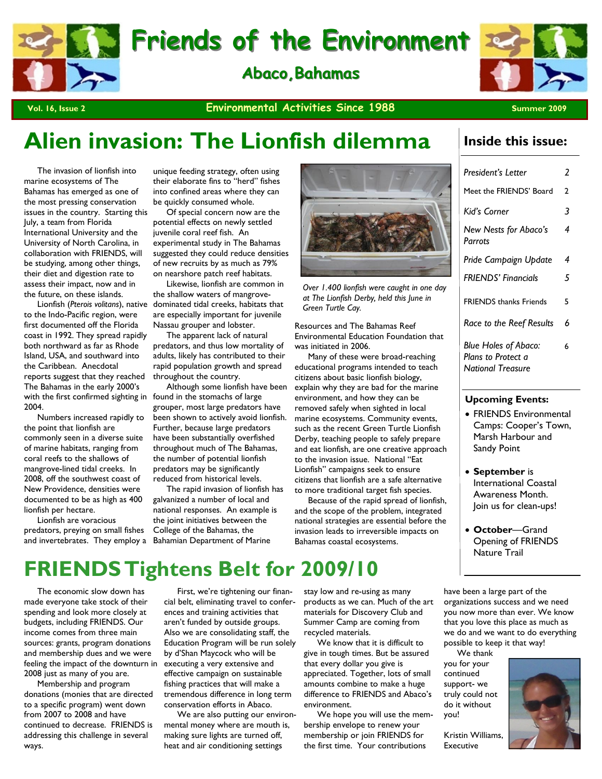# **Friends of the Environment Friends of the Environment**

**Abaco, Bahamas** 



### **Vol. 16, Issue 2** Summer 2009 **Environmental Activities Since 1988** Summer 2009

# **Alien invasion: The Lionfish dilemma**

 The invasion of lionfish into marine ecosystems of The Bahamas has emerged as one of the most pressing conservation issues in the country. Starting this July, a team from Florida International University and the University of North Carolina, in collaboration with FRIENDS, will be studying, among other things, their diet and digestion rate to assess their impact, now and in the future, on these islands.

with the first confirmed sighting in found in the stomachs of large to the Indo-Pacific region, were first documented off the Florida coast in 1992. They spread rapidly both northward as far as Rhode Island, USA, and southward into the Caribbean. Anecdotal reports suggest that they reached The Bahamas in the early 2000's 2004.

 Numbers increased rapidly to the point that lionfish are commonly seen in a diverse suite of marine habitats, ranging from coral reefs to the shallows of mangrove-lined tidal creeks. In 2008, off the southwest coast of New Providence, densities were documented to be as high as 400 lionfish per hectare.

 Lionfish are voracious predators, preying on small fishes and invertebrates. They employ a

unique feeding strategy, often using their elaborate fins to "herd" fishes into confined areas where they can be quickly consumed whole.

 Of special concern now are the potential effects on newly settled juvenile coral reef fish. An experimental study in The Bahamas suggested they could reduce densities of new recruits by as much as 79% on nearshore patch reef habitats.

 Likewise, lionfish are common in the shallow waters of mangrove-Lionfish (Pterois volitans), native dominated tidal creeks, habitats that are especially important for juvenile Nassau grouper and lobster.

 The apparent lack of natural predators, and thus low mortality of adults, likely has contributed to their rapid population growth and spread throughout the country.

 Although some lionfish have been grouper, most large predators have been shown to actively avoid lionfish. Further, because large predators have been substantially overfished throughout much of The Bahamas, the number of potential lionfish predators may be significantly reduced from historical levels.

 The rapid invasion of lionfish has galvanized a number of local and national responses. An example is the joint initiatives between the College of the Bahamas, the Bahamian Department of Marine



*Over 1.400 lionfish were caught in one day at The Lionfish Derby, held this June in Green Turtle Cay.* 

Resources and The Bahamas Reef Environmental Education Foundation that was initiated in 2006.

 Many of these were broad-reaching educational programs intended to teach citizens about basic lionfish biology, explain why they are bad for the marine environment, and how they can be removed safely when sighted in local marine ecosystems. Community events, such as the recent Green Turtle Lionfish Derby, teaching people to safely prepare and eat lionfish, are one creative approach to the invasion issue. National "Eat Lionfish" campaigns seek to ensure citizens that lionfish are a safe alternative to more traditional target fish species.

 Because of the rapid spread of lionfish, and the scope of the problem, integrated national strategies are essential before the invasion leads to irreversible impacts on Bahamas coastal ecosystems.

### **Inside this issue:**

| President's Letter                                                            | 2 |
|-------------------------------------------------------------------------------|---|
| Meet the FRIENDS' Board                                                       | 2 |
| Kiďs Corner                                                                   | 3 |
| New Nests for Abaco's<br>Parrots                                              | 4 |
| Pride Campaign Update                                                         | 4 |
| <b>FRIENDS' Financials</b>                                                    | 5 |
| <b>FRIENDS</b> thanks Friends                                                 | 5 |
| <b>Race to the Reef Results</b>                                               | 6 |
| <b>Blue Holes of Abaco:</b><br>Plans to Protect a<br><b>National Treasure</b> | 6 |

### **Upcoming Events:**

- FRIENDS Environmental Camps: Cooper's Town, Marsh Harbour and Sandy Point
- **September** is International Coastal Awareness Month. Join us for clean-ups!
- **October**—Grand Opening of FRIENDS Nature Trail

# **FRIENDS Tightens Belt for 2009/10**

 The economic slow down has made everyone take stock of their spending and look more closely at budgets, including FRIENDS. Our income comes from three main sources: grants, program donations and membership dues and we were feeling the impact of the downturn in 2008 just as many of you are.

 Membership and program donations (monies that are directed to a specific program) went down from 2007 to 2008 and have continued to decrease. FRIENDS is addressing this challenge in several ways.

 First, we're tightening our financial belt, eliminating travel to conferences and training activities that aren't funded by outside groups. Also we are consolidating staff, the Education Program will be run solely by d'Shan Maycock who will be executing a very extensive and effective campaign on sustainable fishing practices that will make a tremendous difference in long term conservation efforts in Abaco.

 We are also putting our environmental money where are mouth is, making sure lights are turned off, heat and air conditioning settings

stay low and re-using as many products as we can. Much of the art materials for Discovery Club and Summer Camp are coming from recycled materials.

 We know that it is difficult to give in tough times. But be assured that every dollar you give is appreciated. Together, lots of small amounts combine to make a huge difference to FRIENDS and Abaco's environment.

 We hope you will use the membership envelope to renew your membership or join FRIENDS for the first time. Your contributions

have been a large part of the organizations success and we need you now more than ever. We know that you love this place as much as we do and we want to do everything possible to keep it that way!

 We thank you for your continued support- we truly could not do it without you!



Kristin Williams, Executive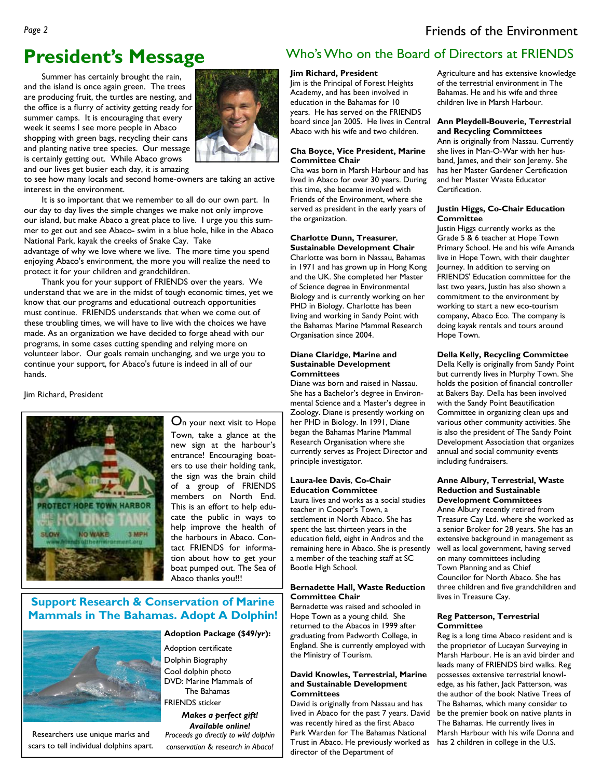# **President's Message**

Summer has certainly brought the rain, and the island is once again green. The trees are producing fruit, the turtles are nesting, and the office is a flurry of activity getting ready for summer camps. It is encouraging that every week it seems I see more people in Abaco shopping with green bags, recycling their cans and planting native tree species. Our message is certainly getting out. While Abaco grows and our lives get busier each day, it is amazing



to see how many locals and second home-owners are taking an active interest in the environment.

 It is so important that we remember to all do our own part. In our day to day lives the simple changes we make not only improve our island, but make Abaco a great place to live. I urge you this summer to get out and see Abaco- swim in a blue hole, hike in the Abaco National Park, kayak the creeks of Snake Cay. Take

advantage of why we love where we live. The more time you spend enjoying Abaco's environment, the more you will realize the need to protect it for your children and grandchildren.

 Thank you for your support of FRIENDS over the years. We understand that we are in the midst of tough economic times, yet we know that our programs and educational outreach opportunities must continue. FRIENDS understands that when we come out of these troubling times, we will have to live with the choices we have made. As an organization we have decided to forge ahead with our programs, in some cases cutting spending and relying more on volunteer labor. Our goals remain unchanging, and we urge you to continue your support, for Abaco's future is indeed in all of our hands.

Jim Richard, President



On your next visit to Hope Town, take a glance at the new sign at the harbour's entrance! Encouraging boaters to use their holding tank, the sign was the brain child of a group of FRIENDS members on North End. This is an effort to help educate the public in ways to help improve the health of the harbours in Abaco. Contact FRIENDS for information about how to get your boat pumped out. The Sea of Abaco thanks you!!!

### **Support Research & Conservation of Marine Mammals in The Bahamas. Adopt A Dolphin!**



Researchers use unique marks and scars to tell individual dolphins apart.

**Adoption Package (\$49/yr):** 

Adoption certificate Dolphin Biography Cool dolphin photo DVD: Marine Mammals of The Bahamas FRIENDS sticker

*Makes a perfect gift! Available online! Proceeds go directly to wild dolphin conservation & research in Abaco!* 

### Who's Who on the Board of Directors at FRIENDS

### **Jim Richard, President**

Jim is the Principal of Forest Heights Academy, and has been involved in education in the Bahamas for 10 years. He has served on the FRIENDS board since Jan 2005. He lives in Central Abaco with his wife and two children.

### **Cha Boyce, Vice President, Marine Committee Chair**

Cha was born in Marsh Harbour and has lived in Abaco for over 30 years. During this time, she became involved with Friends of the Environment, where she served as president in the early years of the organization.

### **Charlotte Dunn, Treasurer**, **Sustainable Development Chair**

Charlotte was born in Nassau, Bahamas in 1971 and has grown up in Hong Kong and the UK. She completed her Master of Science degree in Environmental Biology and is currently working on her PHD in Biology. Charlotte has been living and working in Sandy Point with the Bahamas Marine Mammal Research Organisation since 2004.

#### **Diane Claridge**, **Marine and Sustainable Development Committees**

Diane was born and raised in Nassau. She has a Bachelor's degree in Environmental Science and a Master's degree in Zoology. Diane is presently working on her PHD in Biology. In 1991, Diane began the Bahamas Marine Mammal Research Organisation where she currently serves as Project Director and principle investigator.

### **Laura-lee Davis**, **Co-Chair Education Committee**

Laura lives and works as a social studies teacher in Cooper's Town, a settlement in North Abaco. She has spent the last thirteen years in the education field, eight in Andros and the remaining here in Abaco. She is presently a member of the teaching staff at SC Bootle High School.

#### **Bernadette Hall, Waste Reduction Committee Chair**

Bernadette was raised and schooled in Hope Town as a young child. She returned to the Abacos in 1999 after graduating from Padworth College, in England. She is currently employed with the Ministry of Tourism.

#### **David Knowles, Terrestrial, Marine and Sustainable Development Committees**

David is originally from Nassau and has lived in Abaco for the past 7 years. David was recently hired as the first Abaco Park Warden for The Bahamas National Trust in Abaco. He previously worked as has 2 children in college in the U.S. director of the Department of

Agriculture and has extensive knowledge of the terrestrial environment in The Bahamas. He and his wife and three children live in Marsh Harbour.

#### **Ann Pleydell-Bouverie, Terrestrial and Recycling Committees**

Ann is originally from Nassau. Currently she lives in Man-O-War with her husband, James, and their son Jeremy. She has her Master Gardener Certification and her Master Waste Educator Certification.

#### **Justin Higgs, Co-Chair Education Committee**

Justin Higgs currently works as the Grade 5 & 6 teacher at Hope Town Primary School. He and his wife Amanda live in Hope Town, with their daughter Journey. In addition to serving on FRIENDS' Education committee for the last two years, Justin has also shown a commitment to the environment by working to start a new eco-tourism company, Abaco Eco. The company is doing kayak rentals and tours around Hope Town.

#### **Della Kelly, Recycling Committee**

Della Kelly is originally from Sandy Point but currently lives in Murphy Town. She holds the position of financial controller at Bakers Bay. Della has been involved with the Sandy Point Beautification Committee in organizing clean ups and various other community activities. She is also the president of The Sandy Point Development Association that organizes annual and social community events including fundraisers.

#### **Anne Albury, Terrestrial, Waste Reduction and Sustainable Development Committees**

Anne Albury recently retired from Treasure Cay Ltd. where she worked as a senior Broker for 28 years. She has an extensive background in management as well as local government, having served on many committees including Town Planning and as Chief Councilor for North Abaco. She has three children and five grandchildren and lives in Treasure Cay.

#### **Reg Patterson, Terrestrial Committee**

Reg is a long time Abaco resident and is the proprietor of Lucayan Surveying in Marsh Harbour. He is an avid birder and leads many of FRIENDS bird walks. Reg possesses extensive terrestrial knowl-.<br>edge, as his father, Jack Patterson, was the author of the book Native Trees of The Bahamas, which many consider to be the premier book on native plants in The Bahamas. He currently lives in Marsh Harbour with his wife Donna and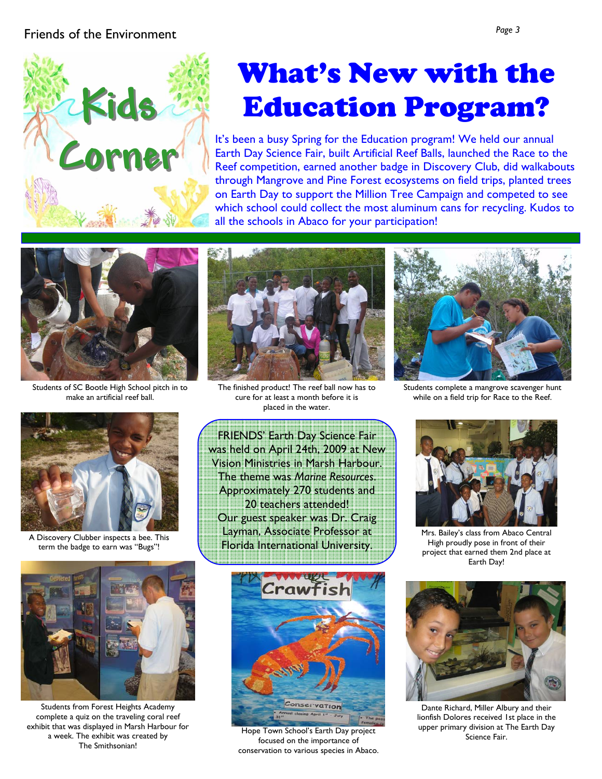### Friends of the Environment *Page 3*



# What's New with the Education Program?

It's been a busy Spring for the Education program! We held our annual Earth Day Science Fair, built Artificial Reef Balls, launched the Race to the Reef competition, earned another badge in Discovery Club, did walkabouts through Mangrove and Pine Forest ecosystems on field trips, planted trees on Earth Day to support the Million Tree Campaign and competed to see which school could collect the most aluminum cans for recycling. Kudos to all the schools in Abaco for your participation!



Students of SC Bootle High School pitch in to make an artificial reef ball.



The finished product! The reef ball now has to cure for at least a month before it is placed in the water.



Students complete a mangrove scavenger hunt while on a field trip for Race to the Reef.



A Discovery Clubber inspects a bee. This term the badge to earn was "Bugs"!



Students from Forest Heights Academy complete a quiz on the traveling coral reef exhibit that was displayed in Marsh Harbour for a week. The exhibit was created by The Smithsonian!

FRIENDS' Earth Day Science Fair was held on April 24th, 2009 at New Vision Ministries in Marsh Harbour. The theme was *Marine Resources*. Approximately 270 students and 20 teachers attended! Our guest speaker was Dr. Craig Layman, Associate Professor at Florida International University.



Hope Town School's Earth Day project<br>Science Fair. Science Fair. focused on the importance of conservation to various species in Abaco.



Mrs. Bailey's class from Abaco Central High proudly pose in front of their project that earned them 2nd place at Earth Day!



Dante Richard, Miller Albury and their lionfish Dolores received 1st place in the upper primary division at The Earth Day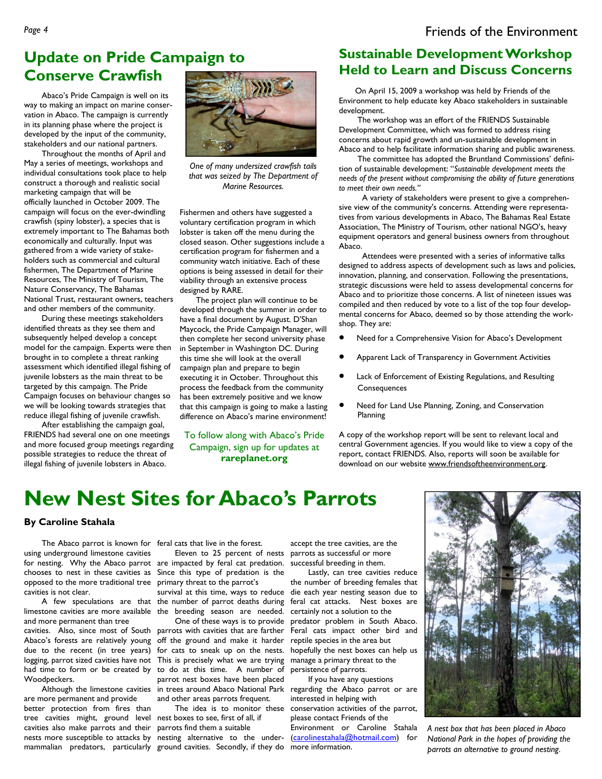### **Update on Pride Campaign to Conserve Crawfish**

 Abaco's Pride Campaign is well on its way to making an impact on marine conservation in Abaco. The campaign is currently in its planning phase where the project is developed by the input of the community, stakeholders and our national partners.

 Throughout the months of April and May a series of meetings, workshops and individual consultations took place to help construct a thorough and realistic social marketing campaign that will be officially launched in October 2009. The campaign will focus on the ever-dwindling crawfish (spiny lobster), a species that is extremely important to The Bahamas both economically and culturally. Input was gathered from a wide variety of stakeholders such as commercial and cultural fishermen, The Department of Marine Resources, The Ministry of Tourism, The Nature Conservancy, The Bahamas National Trust, restaurant owners, teachers and other members of the community.

 During these meetings stakeholders identified threats as they see them and subsequently helped develop a concept model for the campaign. Experts were then brought in to complete a threat ranking assessment which identified illegal fishing of juvenile lobsters as the main threat to be targeted by this campaign. The Pride Campaign focuses on behaviour changes so we will be looking towards strategies that reduce illegal fishing of juvenile crawfish.

 After establishing the campaign goal, FRIENDS had several one on one meetings and more focused group meetings regarding possible strategies to reduce the threat of illegal fishing of juvenile lobsters in Abaco.



*One of many undersized crawfish tails that was seized by The Department of Marine Resources.* 

Fishermen and others have suggested a voluntary certification program in which lobster is taken off the menu during the closed season. Other suggestions include a certification program for fishermen and a community watch initiative. Each of these options is being assessed in detail for their viability through an extensive process designed by RARE.

 The project plan will continue to be developed through the summer in order to have a final document by August. D'Shan Maycock, the Pride Campaign Manager, will then complete her second university phase in September in Washington DC. During this time she will look at the overall campaign plan and prepare to begin executing it in October. Throughout this process the feedback from the community has been extremely positive and we know that this campaign is going to make a lasting difference on Abaco's marine environment!

To follow along with Abaco's Pride Campaign, sign up for updates at **rareplanet.org** 

### **Sustainable Development Workshop Held to Learn and Discuss Concerns**

 On April 15, 2009 a workshop was held by Friends of the Environment to help educate key Abaco stakeholders in sustainable development.

 The workshop was an effort of the FRIENDS Sustainable Development Committee, which was formed to address rising concerns about rapid growth and un-sustainable development in Abaco and to help facilitate information sharing and public awareness.

 The committee has adopted the Bruntland Commissions' definition of sustainable development: "*Sustainable development meets the needs of the present without compromising the ability of future generations to meet their own needs."*

 A variety of stakeholders were present to give a comprehensive view of the community's concerns. Attending were representatives from various developments in Abaco, The Bahamas Real Estate Association, The Ministry of Tourism, other national NGO's, heavy equipment operators and general business owners from throughout Abaco.

 Attendees were presented with a series of informative talks designed to address aspects of development such as laws and policies, innovation, planning, and conservation. Following the presentations, strategic discussions were held to assess developmental concerns for Abaco and to prioritize those concerns. A list of nineteen issues was compiled and then reduced by vote to a list of the top four developmental concerns for Abaco, deemed so by those attending the workshop. They are:

- Need for a Comprehensive Vision for Abaco's Development
- Apparent Lack of Transparency in Government Activities
- Lack of Enforcement of Existing Regulations, and Resulting Consequences
- Need for Land Use Planning, Zoning, and Conservation Planning

A copy of the workshop report will be sent to relevant local and central Government agencies. If you would like to view a copy of the report, contact FRIENDS. Also, reports will soon be available for download on our website www.friendsoftheenvironment.org.

# **New Nest Sites for Abaco's Parrots**

### **By Caroline Stahala**

using underground limestone cavities for nesting. Why the Abaco parrot are impacted by feral cat predation. successful breeding in them. chooses to nest in these cavities as Since this type of predation is the opposed to the more traditional tree cavities is not clear.

limestone cavities are more available the breeding season are needed. and more permanent than tree

cavities. Also, since most of South parrots with cavities that are farther Abaco's forests are relatively young off the ground and make it harder due to the recent (in tree years) logging, parrot sized cavities have not had time to form or be created by to do at this time. A number of Woodpeckers.

are more permanent and provide better protection from fires than tree cavities might, ground level nest boxes to see, first of all, if cavities also make parrots and their parrots find them a suitable nests more susceptible to attacks by nesting alternative to the under-

The Abaco parrot is known for feral cats that live in the forest.

 Eleven to 25 percent of nests parrots as successful or more primary threat to the parrot's

 A few speculations are that the number of parrot deaths during survival at this time, ways to reduce

 Although the limestone cavities in trees around Abaco National Park regarding the Abaco parrot or are One of these ways is to provide for cats to sneak up on the nests. This is precisely what we are trying manage a primary threat to the parrot nest boxes have been placed and other areas parrots frequent.

mammalian predators, particularly ground cavities. Secondly, if they do more information.

accept the tree cavities, are the

 Lastly, can tree cavities reduce the number of breeding females that die each year nesting season due to feral cat attacks. Nest boxes are certainly not a solution to the predator problem in South Abaco. Feral cats impact other bird and reptile species in the area but hopefully the nest boxes can help us persistence of parrots.

 The idea is to monitor these conservation activities of the parrot, If you have any questions interested in helping with please contact Friends of the Environment or Caroline Stahala (carolinestahala@hotmail.com) for



*A nest box that has been placed in Abaco National Park in the hopes of providing the parrots an alternative to ground nesting*.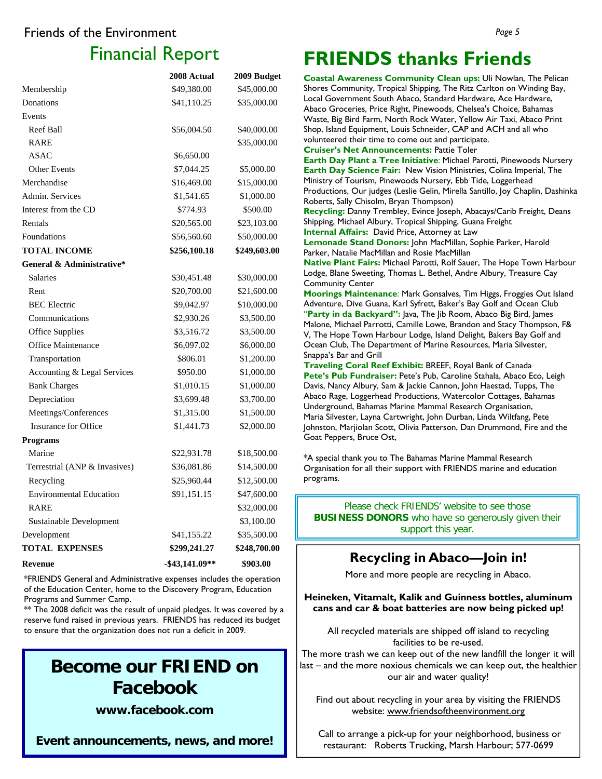### Friends of the Environment

# Financial Report

|                                | 2008 Actual       | 2009 Budget  |
|--------------------------------|-------------------|--------------|
| Membership                     | \$49,380.00       | \$45,000.00  |
| Donations                      | \$41,110.25       | \$35,000.00  |
| Events                         |                   |              |
| <b>Reef Ball</b>               | \$56,004.50       | \$40,000.00  |
| <b>RARE</b>                    |                   | \$35,000.00  |
| ASAC                           | \$6,650.00        |              |
| <b>Other Events</b>            | \$7,044.25        | \$5,000.00   |
| Merchandise                    | \$16,469.00       | \$15,000.00  |
| Admin. Services                | \$1,541.65        | \$1,000.00   |
| Interest from the CD           | \$774.93          | \$500.00     |
| Rentals                        | \$20,565.00       | \$23,103.00  |
| Foundations                    | \$56,560.60       | \$50,000.00  |
| <b>TOTAL INCOME</b>            | \$256,100.18      | \$249,603.00 |
| General & Administrative*      |                   |              |
| <b>Salaries</b>                | \$30,451.48       | \$30,000.00  |
| Rent                           | \$20,700.00       | \$21,600.00  |
| <b>BEC</b> Electric            | \$9,042.97        | \$10,000.00  |
| Communications                 | \$2,930.26        | \$3,500.00   |
| <b>Office Supplies</b>         | \$3,516.72        | \$3,500.00   |
| <b>Office Maintenance</b>      | \$6,097.02        | \$6,000.00   |
| Transportation                 | \$806.01          | \$1,200.00   |
| Accounting & Legal Services    | \$950.00          | \$1,000.00   |
| <b>Bank Charges</b>            | \$1,010.15        | \$1,000.00   |
| Depreciation                   | \$3,699.48        | \$3,700.00   |
| Meetings/Conferences           | \$1,315.00        | \$1,500.00   |
| Insurance for Office           | \$1,441.73        | \$2,000.00   |
| <b>Programs</b>                |                   |              |
| Marine                         | \$22,931.78       | \$18,500.00  |
| Terrestrial (ANP & Invasives)  | \$36,081.86       | \$14,500.00  |
| Recycling                      | \$25,960.44       | \$12,500.00  |
| <b>Environmental Education</b> | \$91,151.15       | \$47,600.00  |
| RARE                           |                   | \$32,000.00  |
| Sustainable Development        |                   | \$3,100.00   |
| Development                    | \$41,155.22       | \$35,500.00  |
| <b>TOTAL EXPENSES</b>          | \$299,241.27      | \$248,700.00 |
| <b>Revenue</b>                 | $-$ \$43,141.09** | \$903.00     |

\*FRIENDS General and Administrative expenses includes the operation of the Education Center, home to the Discovery Program, Education Programs and Summer Camp.

\*\* The 2008 deficit was the result of unpaid pledges. It was covered by a reserve fund raised in previous years. FRIENDS has reduced its budget to ensure that the organization does not run a deficit in 2009.

# **Become our FRIEND on Facebook**

**www.facebook.com** 

**Event announcements, news, and more!**

# **FRIENDS thanks Friends**

**Coastal Awareness Community Clean ups:** Uli Nowlan, The Pelican Shores Community, Tropical Shipping, The Ritz Carlton on Winding Bay, Local Government South Abaco, Standard Hardware, Ace Hardware, Abaco Groceries, Price Right, Pinewoods, Chelsea's Choice, Bahamas Waste, Big Bird Farm, North Rock Water, Yellow Air Taxi, Abaco Print Shop, Island Equipment, Louis Schneider, CAP and ACH and all who volunteered their time to come out and participate. **Cruiser's Net Announcements:** Pattie Toler **Earth Day Plant a Tree Initiative**: Michael Parotti, Pinewoods Nursery **Earth Day Science Fair:** New Vision Ministries, Colina Imperial, The Ministry of Tourism, Pinewoods Nursery, Ebb Tide, Loggerhead Productions, Our judges (Leslie Gelin, Mirella Santillo, Joy Chaplin, Dashinka Roberts, Sally Chisolm, Bryan Thompson) **Recycling:** Danny Trembley, Evince Joseph, Abacays/Carib Freight, Deans Shipping, Michael Albury, Tropical Shipping, Guana Freight **Internal Affairs:** David Price, Attorney at Law **Lemonade Stand Donors:** John MacMillan, Sophie Parker, Harold Parker, Natalie MacMillan and Rosie MacMillan **Native Plant Fairs:** Michael Parotti, Rolf Sauer, The Hope Town Harbour Lodge, Blane Sweeting, Thomas L. Bethel, Andre Albury, Treasure Cay Community Center **Moorings Maintenance**: Mark Gonsalves, Tim Higgs, Froggies Out Island Adventure, Dive Guana, Karl Syfrett, Baker's Bay Golf and Ocean Club "**Party in da Backyard":** Java, The Jib Room, Abaco Big Bird, James Malone, Michael Parrotti, Camille Lowe, Brandon and Stacy Thompson, F& V, The Hope Town Harbour Lodge, Island Delight, Bakers Bay Golf and Ocean Club, The Department of Marine Resources, Maria Silvester, Snappa's Bar and Grill **Traveling Coral Reef Exhibit:** BREEF, Royal Bank of Canada Pete's Pub Fundraiser: Pete's Pub, Caroline Stahala, Abaco Eco, Leigh Davis, Nancy Albury, Sam & Jackie Cannon, John Haestad, Tupps, The Abaco Rage, Loggerhead Productions, Watercolor Cottages, Bahamas Underground, Bahamas Marine Mammal Research Organisation, Maria Silvester, Layna Cartwright, John Durban, Linda Wiltfang, Pete

Johnston, Marjiolan Scott, Olivia Patterson, Dan Drummond, Fire and the Goat Peppers, Bruce Ost,

\*A special thank you to The Bahamas Marine Mammal Research Organisation for all their support with FRIENDS marine and education programs.

Please check FRIENDS' website to see those **BUSINESS DONORS** who have so generously given their support this year.

### **Recycling in Abaco—Join in!**

More and more people are recycling in Abaco.

### **Heineken, Vitamalt, Kalik and Guinness bottles, aluminum cans and car & boat batteries are now being picked up!**

All recycled materials are shipped off island to recycling facilities to be re-used.

The more trash we can keep out of the new landfill the longer it will last – and the more noxious chemicals we can keep out, the healthier our air and water quality!

Find out about recycling in your area by visiting the FRIENDS website: www.friendsoftheenvironment.org

 Call to arrange a pick-up for your neighborhood, business or restaurant: Roberts Trucking, Marsh Harbour; 577-0699